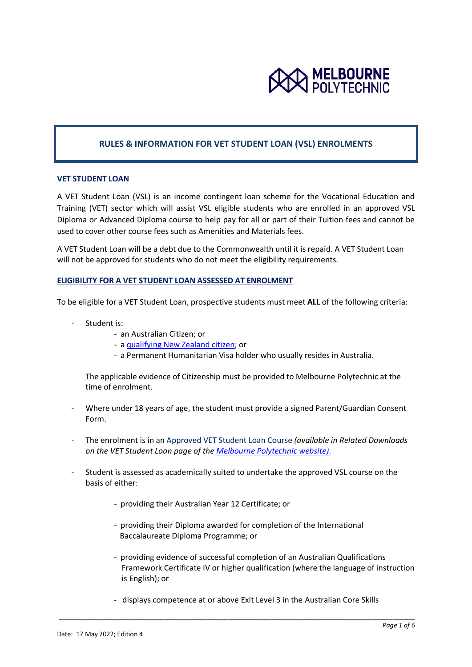

## **RULES & INFORMATION FOR VET STUDENT LOAN (VSL) ENROLMENTS**

#### **VET STUDENT LOAN**

A VET Student Loan (VSL) is an income contingent loan scheme for the Vocational Education and Training (VET) sector which will assist VSL eligible students who are enrolled in an approved VSL Diploma or Advanced Diploma course to help pay for all or part of their Tuition fees and cannot be used to cover other course fees such as Amenities and Materials fees.

A VET Student Loan will be a debt due to the Commonwealth until it is repaid. A VET Student Loan will not be approved for students who do not meet the eligibility requirements.

### **ELIGIBILITY FOR A VET STUDENT LOAN ASSESSED AT ENROLMENT**

To be eligible for a VET Student Loan, prospective students must meet **ALL** of the following criteria:

- Student is:
	- an Australian Citizen; or
	- a [qualifying New Zealand citizen;](https://www.dese.gov.au/vet-student-loans/resources/quick-guide-eligibility) or
	- a Permanent Humanitarian Visa holder who usually resides in Australia.

The applicable evidence of Citizenship must be provided to Melbourne Polytechnic at the time of enrolment.

- Where under 18 years of age, the student must provide a signed Parent/Guardian Consent Form.
- The enrolment is in an Approved VET Student Loan Course *(available in Related Downloads on the VET Student Loan page of the [Melbourne Polytechnic website\)](https://www.melbournepolytechnic.edu.au/study/fees/local-student-fees/fees-for-local-vocational-education-students/vet-student-loans-and-vet-fee-help/)*.
- Student is assessed as academically suited to undertake the approved VSL course on the basis of either:
	- providing their Australian Year 12 Certificate; or
	- providing their Diploma awarded for completion of the International Baccalaureate Diploma Programme; or
	- providing evidence of successful completion of an Australian Qualifications Framework Certificate IV or higher qualification (where the language of instruction is English); or
	- displays competence at or above Exit Level 3 in the Australian Core Skills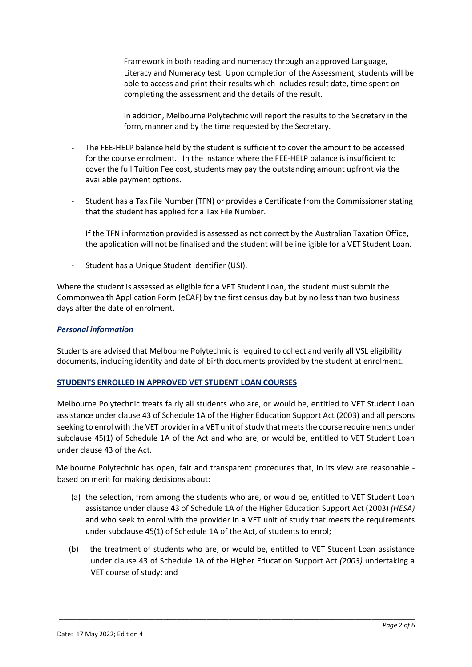Framework in both reading and numeracy through an approved Language, Literacy and Numeracy test. Upon completion of the Assessment, students will be able to access and print their results which includes result date, time spent on completing the assessment and the details of the result.

 In addition, Melbourne Polytechnic will report the results to the Secretary in the form, manner and by the time requested by the Secretary.

- The FEE-HELP balance held by the student is sufficient to cover the amount to be accessed for the course enrolment. In the instance where the FEE-HELP balance is insufficient to cover the full Tuition Fee cost, students may pay the outstanding amount upfront via the available payment options.
- Student has a Tax File Number (TFN) or provides a Certificate from the Commissioner stating that the student has applied for a Tax File Number.

If the TFN information provided is assessed as not correct by the Australian Taxation Office, the application will not be finalised and the student will be ineligible for a VET Student Loan.

Student has a Unique Student Identifier (USI).

Where the student is assessed as eligible for a VET Student Loan, the student must submit the Commonwealth Application Form (eCAF) by the first census day but by no less than two business days after the date of enrolment.

## *Personal information*

Students are advised that Melbourne Polytechnic is required to collect and verify all VSL eligibility documents, including identity and date of birth documents provided by the student at enrolment.

# **STUDENTS ENROLLED IN APPROVED VET STUDENT LOAN COURSES**

Melbourne Polytechnic treats fairly all students who are, or would be, entitled to VET Student Loan assistance under clause 43 of Schedule 1A of the Higher Education Support Act (2003) and all persons seeking to enrol with the VET provider in a VET unit of study that meets the course requirements under subclause 45(1) of Schedule 1A of the Act and who are, or would be, entitled to VET Student Loan under clause 43 of the Act.

Melbourne Polytechnic has open, fair and transparent procedures that, in its view are reasonable based on merit for making decisions about:

- (a) the selection, from among the students who are, or would be, entitled to VET Student Loan assistance under clause 43 of Schedule 1A of the Higher Education Support Act (2003) *(HESA)* and who seek to enrol with the provider in a VET unit of study that meets the requirements under subclause 45(1) of Schedule 1A of the Act, of students to enrol;
- (b) the treatment of students who are, or would be, entitled to VET Student Loan assistance under clause 43 of Schedule 1A of the Higher Education Support Act *(2003)* undertaking a VET course of study; and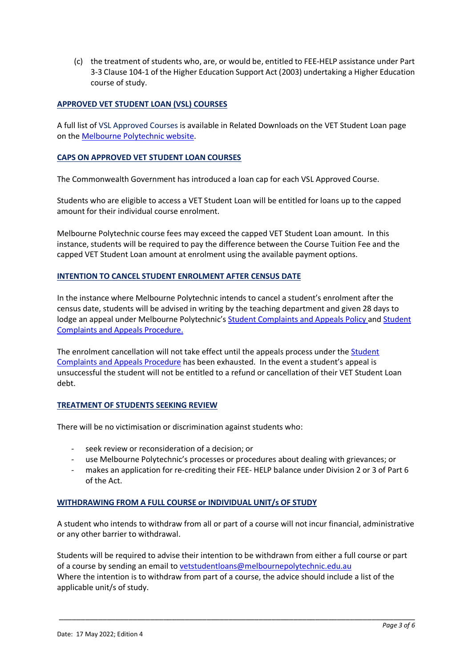(c) the treatment of students who, are, or would be, entitled to FEE-HELP assistance under Part 3-3 Clause 104-1 of the Higher Education Support Act (2003) undertaking a Higher Education course of study.

## **APPROVED VET STUDENT LOAN (VSL) COURSES**

A full list of VSL Approved Courses is available in Related Downloads on the VET Student Loan page on the [Melbourne Polytechnic website.](https://www.melbournepolytechnic.edu.au/study/fees/local-student-fees/fees-for-local-vocational-education-students/vet-student-loans-and-vet-fee-help/)

## **CAPS ON APPROVED VET STUDENT LOAN COURSES**

The Commonwealth Government has introduced a loan cap for each VSL Approved Course.

Students who are eligible to access a VET Student Loan will be entitled for loans up to the capped amount for their individual course enrolment.

Melbourne Polytechnic course fees may exceed the capped VET Student Loan amount. In this instance, students will be required to pay the difference between the Course Tuition Fee and the capped VET Student Loan amount at enrolment using the available payment options.

## **INTENTION TO CANCEL STUDENT ENROLMENT AFTER CENSUS DATE**

In the instance where Melbourne Polytechnic intends to cancel a student's enrolment after the census date, students will be advised in writing by the teaching department and given 28 days to lodge an appeal under Melbourne Polytechnic's [Student Complaints and Appeals Policy a](ttps://www.melbournepolytechnic.edu.au/about-us/policies-and-procedures/)nd [Student](ttps://www.melbournepolytechnic.edu.au/about-us/policies-and-procedures/)  [Complaints and Appeals Procedure.](ttps://www.melbournepolytechnic.edu.au/about-us/policies-and-procedures/)

The enrolment cancellation will not take effect until the appeals process under the [Student](https://melbournepolytechnic.sharepoint.com/sites/staff/pub/AcademicRegistry/Course%20Registration/Forms/AllItems.aspx)  [Complaints and Appeals Procedure](https://melbournepolytechnic.sharepoint.com/sites/staff/pub/AcademicRegistry/Course%20Registration/Forms/AllItems.aspx) has been exhausted. In the event a student's appeal is unsuccessful the student will not be entitled to a refund or cancellation of their VET Student Loan debt.

## **TREATMENT OF STUDENTS SEEKING REVIEW**

There will be no victimisation or discrimination against students who:

- seek review or reconsideration of a decision; or
- use Melbourne Polytechnic's processes or procedures about dealing with grievances; or
- makes an application for re-crediting their FEE- HELP balance under Division 2 or 3 of Part 6 of the Act.

## **WITHDRAWING FROM A FULL COURSE or INDIVIDUAL UNIT/s OF STUDY**

A student who intends to withdraw from all or part of a course will not incur financial, administrative or any other barrier to withdrawal.

Students will be required to advise their intention to be withdrawn from either a full course or part of a course by sending an email to [vetstudentloans@melbournepolytechnic.edu.au](mailto:vetstudentloans@melbournepolytechnic.edu.au)  Where the intention is to withdraw from part of a course, the advice should include a list of the applicable unit/s of study.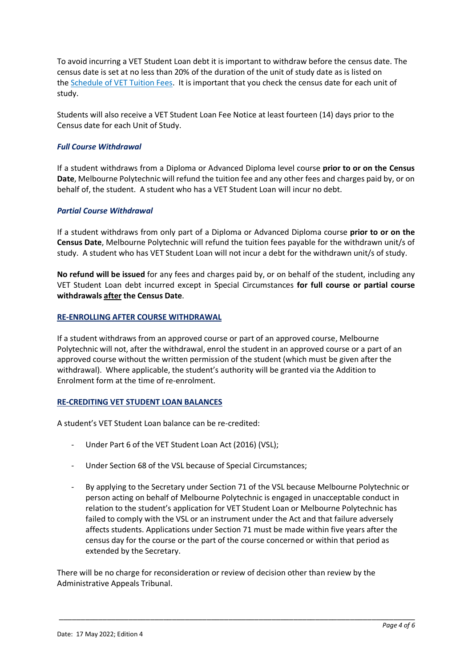To avoid incurring a VET Student Loan debt it is important to withdraw before the census date. The census date is set at no less than 20% of the duration of the unit of study date as is listed on the [Schedule of VET Tuition Fees.](https://www.melbournepolytechnic.edu.au/study/fees/local-student-fees/fees-for-local-vocational-education-students/schedule-of-vet-tuition-fees-diploma-and-above-programs/) It is important that you check the census date for each unit of study.

Students will also receive a VET Student Loan Fee Notice at least fourteen (14) days prior to the Census date for each Unit of Study.

# *Full Course Withdrawal*

If a student withdraws from a Diploma or Advanced Diploma level course **prior to or on the Census Date**, Melbourne Polytechnic will refund the tuition fee and any other fees and charges paid by, or on behalf of, the student. A student who has a VET Student Loan will incur no debt.

# *Partial Course Withdrawal*

If a student withdraws from only part of a Diploma or Advanced Diploma course **prior to or on the Census Date**, Melbourne Polytechnic will refund the tuition fees payable for the withdrawn unit/s of study. A student who has VET Student Loan will not incur a debt for the withdrawn unit/s of study.

**No refund will be issued** for any fees and charges paid by, or on behalf of the student, including any VET Student Loan debt incurred except in Special Circumstances **for full course or partial course withdrawals after the Census Date**.

## **RE-ENROLLING AFTER COURSE WITHDRAWAL**

If a student withdraws from an approved course or part of an approved course, Melbourne Polytechnic will not, after the withdrawal, enrol the student in an approved course or a part of an approved course without the written permission of the student (which must be given after the withdrawal). Where applicable, the student's authority will be granted via the Addition to Enrolment form at the time of re-enrolment.

## **RE-CREDITING VET STUDENT LOAN BALANCES**

A student's VET Student Loan balance can be re-credited:

- Under Part 6 of the VET Student Loan Act (2016) (VSL);
- Under Section 68 of the VSL because of Special Circumstances;
- By applying to the Secretary under Section 71 of the VSL because Melbourne Polytechnic or person acting on behalf of Melbourne Polytechnic is engaged in unacceptable conduct in relation to the student's application for VET Student Loan or Melbourne Polytechnic has failed to comply with the VSL or an instrument under the Act and that failure adversely affects students. Applications under Section 71 must be made within five years after the census day for the course or the part of the course concerned or within that period as extended by the Secretary.

\_\_\_\_\_\_\_\_\_\_\_\_\_\_\_\_\_\_\_\_\_\_\_\_\_\_\_\_\_\_\_\_\_\_\_\_\_\_\_\_\_\_\_\_\_\_\_\_\_\_\_\_\_\_\_\_\_\_\_\_\_\_\_\_\_\_\_\_\_\_\_\_\_\_\_\_\_\_\_\_\_\_

There will be no charge for reconsideration or review of decision other than review by the Administrative Appeals Tribunal.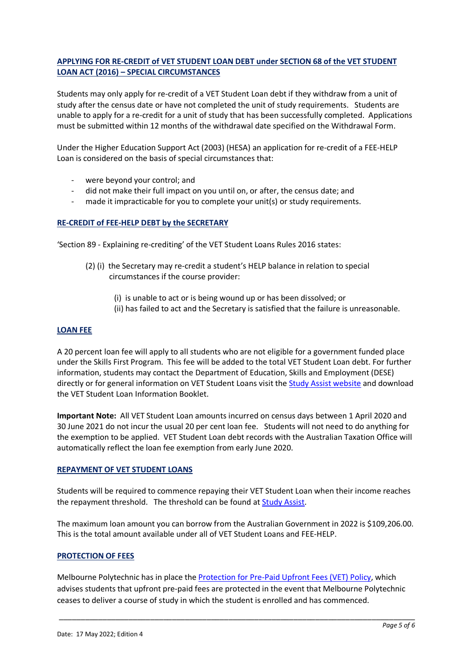# **APPLYING FOR RE-CREDIT of VET STUDENT LOAN DEBT under SECTION 68 of the VET STUDENT LOAN ACT (2016) – SPECIAL CIRCUMSTANCES**

Students may only apply for re-credit of a VET Student Loan debt if they withdraw from a unit of study after the census date or have not completed the unit of study requirements. Students are unable to apply for a re-credit for a unit of study that has been successfully completed. Applications must be submitted within 12 months of the withdrawal date specified on the Withdrawal Form.

Under the Higher Education Support Act (2003) (HESA) an application for re-credit of a FEE-HELP Loan is considered on the basis of special circumstances that:

- were beyond your control; and
- did not make their full impact on you until on, or after, the census date; and
- made it impracticable for you to complete your unit(s) or study requirements.

### **RE-CREDIT of FEE-HELP DEBT by the SECRETARY**

'Section 89 - Explaining re-crediting' of the VET Student Loans Rules 2016 states:

- (2) (i) the Secretary may re-credit a student's HELP balance in relation to special circumstances if the course provider:
	- (i) is unable to act or is being wound up or has been dissolved; or
	- (ii) has failed to act and the Secretary is satisfied that the failure is unreasonable.

#### **LOAN FEE**

A 20 percent loan fee will apply to all students who are not eligible for a government funded place under the Skills First Program. This fee will be added to the total VET Student Loan debt. For further information, students may contact the Department of Education, Skills and Employment (DESE) directly or for general information on VET Student Loans visit the [Study Assist website](http://studyassist.gov.au/) and download the VET Student Loan Information Booklet.

**Important Note:** All VET Student Loan amounts incurred on census days between 1 April 2020 and 30 June 2021 do not incur the usual 20 per cent loan fee. Students will not need to do anything for the exemption to be applied. VET Student Loan debt records with the Australian Taxation Office will automatically reflect the loan fee exemption from early June 2020.

#### **REPAYMENT OF VET STUDENT LOANS**

Students will be required to commence repaying their VET Student Loan when their income reaches the repayment threshold. The threshold can be found at [Study Assist.](https://www.studyassist.gov.au/paying-back-your-loan/loan-repayment) 

The maximum loan amount you can borrow from the Australian Government in 2022 is \$109,206.00. This is the total amount available under all of VET Student Loans and FEE-HELP.

#### **PROTECTION OF FEES**

Melbourne Polytechnic has in place the [Protection for Pre-Paid Upfront Fees \(VET\) Policy,](https://www.melbournepolytechnic.edu.au/about-us/policies-and-procedures/) which advises students that upfront pre-paid fees are protected in the event that Melbourne Polytechnic ceases to deliver a course of study in which the student is enrolled and has commenced.